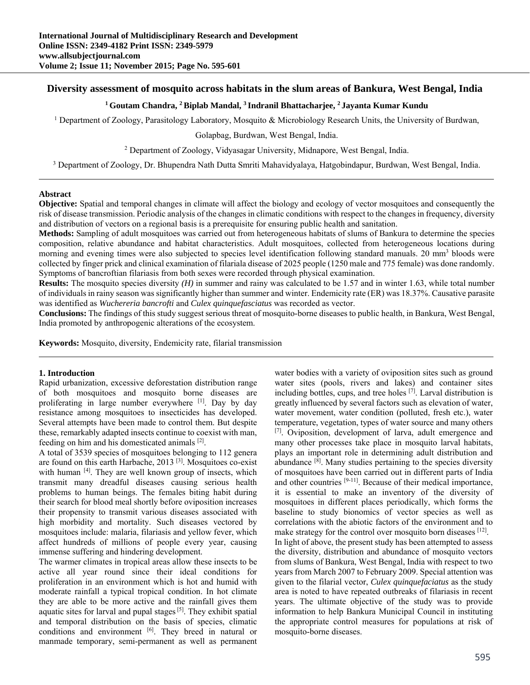#### **Diversity assessment of mosquito across habitats in the slum areas of Bankura, West Bengal, India**

## **1 Goutam Chandra, 2 Biplab Mandal, 3 Indranil Bhattacharjee, 2 Jayanta Kumar Kundu**

<sup>1</sup> Department of Zoology, Parasitology Laboratory, Mosquito & Microbiology Research Units, the University of Burdwan,

Golapbag, Burdwan, West Bengal, India.

<sup>2</sup> Department of Zoology, Vidyasagar University, Midnapore, West Bengal, India.

<sup>3</sup> Department of Zoology, Dr. Bhupendra Nath Dutta Smriti Mahavidyalaya, Hatgobindapur, Burdwan, West Bengal, India.

#### **Abstract**

**Objective:** Spatial and temporal changes in climate will affect the biology and ecology of vector mosquitoes and consequently the risk of disease transmission. Periodic analysis of the changes in climatic conditions with respect to the changes in frequency, diversity and distribution of vectors on a regional basis is a prerequisite for ensuring public health and sanitation.

**Methods:** Sampling of adult mosquitoes was carried out from heterogeneous habitats of slums of Bankura to determine the species composition, relative abundance and habitat characteristics. Adult mosquitoes, collected from heterogeneous locations during morning and evening times were also subjected to species level identification following standard manuals. 20 mm<sup>3</sup> bloods were collected by finger prick and clinical examination of filariala disease of 2025 people (1250 male and 775 female) was done randomly. Symptoms of bancroftian filariasis from both sexes were recorded through physical examination.

**Results:** The mosquito species diversity *(H)* in summer and rainy was calculated to be 1.57 and in winter 1.63, while total number of individuals in rainy season was significantly higher than summer and winter. Endemicity rate (ER) was 18.37%. Causative parasite was identified as *Wuchereria bancrofti* and *Culex quinquefasciatus* was recorded as vector.

**Conclusions:** The findings of this study suggest serious threat of mosquito-borne diseases to public health, in Bankura, West Bengal, India promoted by anthropogenic alterations of the ecosystem.

**Keywords:** Mosquito, diversity, Endemicity rate, filarial transmission

#### **1. Introduction**

Rapid urbanization, excessive deforestation distribution range of both mosquitoes and mosquito borne diseases are proliferating in large number everywhere [1]. Day by day resistance among mosquitoes to insecticides has developed. Several attempts have been made to control them. But despite these, remarkably adapted insects continue to coexist with man, feeding on him and his domesticated animals [2].

A total of 3539 species of mosquitoes belonging to 112 genera are found on this earth Harbache, 2013 [3]. Mosquitoes co-exist with human <sup>[4]</sup>. They are well known group of insects, which transmit many dreadful diseases causing serious health problems to human beings. The females biting habit during their search for blood meal shortly before oviposition increases their propensity to transmit various diseases associated with high morbidity and mortality. Such diseases vectored by mosquitoes include: malaria, filariasis and yellow fever, which affect hundreds of millions of people every year, causing immense suffering and hindering development.

The warmer climates in tropical areas allow these insects to be active all year round since their ideal conditions for proliferation in an environment which is hot and humid with moderate rainfall a typical tropical condition. In hot climate they are able to be more active and the rainfall gives them aquatic sites for larval and pupal stages  $[5]$ . They exhibit spatial and temporal distribution on the basis of species, climatic conditions and environment [6]. They breed in natural or manmade temporary, semi-permanent as well as permanent

water bodies with a variety of oviposition sites such as ground water sites (pools, rivers and lakes) and container sites including bottles, cups, and tree holes [7]. Larval distribution is greatly influenced by several factors such as elevation of water, water movement, water condition (polluted, fresh etc.), water temperature, vegetation, types of water source and many others [7]. Oviposition, development of larva, adult emergence and many other processes take place in mosquito larval habitats, plays an important role in determining adult distribution and abundance  $[\hat{8}]$ . Many studies pertaining to the species diversity of mosquitoes have been carried out in different parts of India and other countries [9-11]. Because of their medical importance, it is essential to make an inventory of the diversity of mosquitoes in different places periodically, which forms the baseline to study bionomics of vector species as well as correlations with the abiotic factors of the environment and to make strategy for the control over mosquito born diseases [12]. In light of above, the present study has been attempted to assess the diversity, distribution and abundance of mosquito vectors from slums of Bankura, West Bengal, India with respect to two years from March 2007 to February 2009. Special attention was given to the filarial vector, *Culex quinquefaciatus* as the study area is noted to have repeated outbreaks of filariasis in recent years. The ultimate objective of the study was to provide information to help Bankura Municipal Council in instituting the appropriate control measures for populations at risk of mosquito-borne diseases.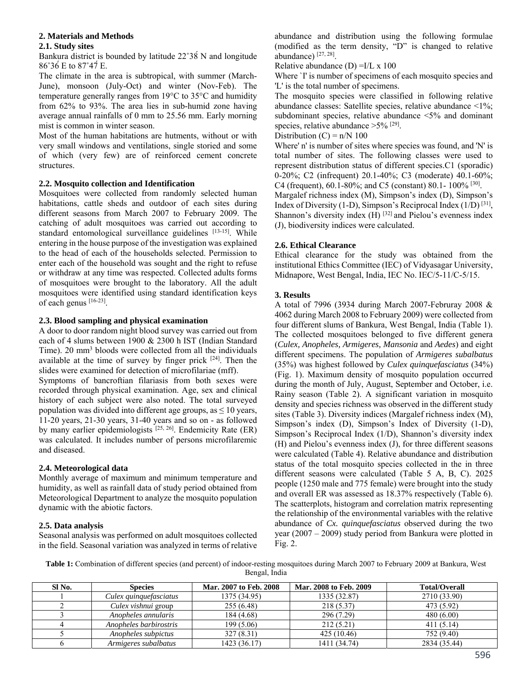# **2. Materials and Methods**

## **2.1. Study sites**

Bankura district is bounded by latitude 22˚38́ N and longitude  $86^{\circ}36$  E to  $87^{\circ}47$  E.

The climate in the area is subtropical, with summer (March-June), monsoon (July-Oct) and winter (Nov-Feb). The temperature generally ranges from 19°C to 35°C and humidity from 62% to 93%. The area lies in sub-humid zone having average annual rainfalls of 0 mm to 25.56 mm. Early morning mist is common in winter season.

Most of the human habitations are hutments, without or with very small windows and ventilations, single storied and some of which (very few) are of reinforced cement concrete structures.

# **2.2. Mosquito collection and Identification**

Mosquitoes were collected from randomly selected human habitations, cattle sheds and outdoor of each sites during different seasons from March 2007 to February 2009. The catching of adult mosquitoes was carried out according to standard entomological surveillance guidelines [13-15]. While entering in the house purpose of the investigation was explained to the head of each of the households selected. Permission to enter each of the household was sought and the right to refuse or withdraw at any time was respected. Collected adults forms of mosquitoes were brought to the laboratory. All the adult mosquitoes were identified using standard identification keys of each genus [16-23].

## **2.3. Blood sampling and physical examination**

A door to door random night blood survey was carried out from each of 4 slums between 1900 & 2300 h IST (Indian Standard Time). 20 mm<sup>3</sup> bloods were collected from all the individuals available at the time of survey by finger prick  $[24]$ . Then the slides were examined for detection of microfilariae (mff).

Symptoms of bancroftian filariasis from both sexes were recorded through physical examination. Age, sex and clinical history of each subject were also noted. The total surveyed population was divided into different age groups, as  $\leq 10$  years, 11-20 years, 21-30 years, 31-40 years and so on - as followed by many earlier epidemiologists  $[25, 26]$ . Endemicity Rate (ER) was calculated. It includes number of persons microfilaremic and diseased.

# **2.4. Meteorological data**

Monthly average of maximum and minimum temperature and humidity, as well as rainfall data of study period obtained from Meteorological Department to analyze the mosquito population dynamic with the abiotic factors.

# **2.5. Data analysis**

Seasonal analysis was performed on adult mosquitoes collected in the field. Seasonal variation was analyzed in terms of relative

abundance and distribution using the following formulae (modified as the term density, "D" is changed to relative abundance) [27, 28].

Relative abundance (D)  $=I/L \times 100$ 

Where `I' is number of specimens of each mosquito species and 'L' is the total number of specimens.

The mosquito species were classified in following relative abundance classes: Satellite species, relative abundance <1%; subdominant species, relative abundance <5% and dominant species, relative abundance  $>5\%$  [29].

Distribution  $(C) = n/N$  100

Where' n' is number of sites where species was found, and 'N' is total number of sites. The following classes were used to represent distribution status of different species.C1 (sporadic) 0-20%; C2 (infrequent) 20.1-40%; C3 (moderate) 40.1-60%; C4 (frequent), 60.1-80%; and C5 (constant) 80.1- 100% [30].

Margalef richness index (M), Simpson's index (D), Simpson's Index of Diversity (1-D), Simpson's Reciprocal Index (1/D) [31], Shannon's diversity index  $(H)$  [32] and Pielou's evenness index (J), biodiversity indices were calculated.

# **2.6. Ethical Clearance**

Ethical clearance for the study was obtained from the institutional Ethics Committee (IEC) of Vidyasagar University, Midnapore, West Bengal, India, IEC No. IEC/5-11/C-5/15.

## **3. Results**

A total of 7996 (3934 during March 2007-Februray 2008 & 4062 during March 2008 to February 2009) were collected from four different slums of Bankura, West Bengal, India (Table 1). The collected mosquitoes belonged to five different genera (*Culex, Anopheles, Armigeres, Mansonia* and *Aedes*) and eight different specimens. The population of *Armigeres subalbatus* (35%) was highest followed by *Culex quinquefasciatus* (34%) (Fig. 1). Maximum density of mosquito population occurred during the month of July, August, September and October, i.e. Rainy season (Table 2). A significant variation in mosquito density and species richness was observed in the different study sites (Table 3). Diversity indices (Margalef richness index (M), Simpson's index (D), Simpson's Index of Diversity (1-D), Simpson's Reciprocal Index (1/D), Shannon's diversity index (H) and Pielou's evenness index (J), for three different seasons were calculated (Table 4). Relative abundance and distribution status of the total mosquito species collected in the in three different seasons were calculated (Table 5 A, B, C). 2025 people (1250 male and 775 female) were brought into the study and overall ER was assessed as 18.37% respectively (Table 6). The scatterplots, histogram and correlation matrix representing the relationship of the environmental variables with the relative abundance of *Cx. quinquefasciatus* observed during the two year (2007 – 2009) study period from Bankura were plotted in Fig. 2.

**Table 1:** Combination of different species (and percent) of indoor-resting mosquitoes during March 2007 to February 2009 at Bankura, West Bengal, India

| SI No. | <b>Species</b>         | Mar. 2007 to Feb. 2008 | <b>Mar. 2008 to Feb. 2009</b> | <b>Total/Overall</b> |
|--------|------------------------|------------------------|-------------------------------|----------------------|
|        | Culex quinquefasciatus | 1375 (34.95)           | 1335 (32.87)                  | 2710 (33.90)         |
|        | Culex vishnui group    | 255(6.48)              | 218 (5.37)                    | 473 (5.92)           |
|        | Anopheles annularis    | 184 (4.68)             | 296 (7.29)                    | 480(6.00)            |
|        | Anopheles barbirostris | 199(5.06)              | 212(5.21)                     | 411(5.14)            |
|        | Anopheles subpictus    | 327(8.31)              | 425 (10.46)                   | 752 (9.40)           |
|        | Armigeres subalbatus   | 1423 (36.17)           | 1411 (34.74)                  | 2834 (35.44)         |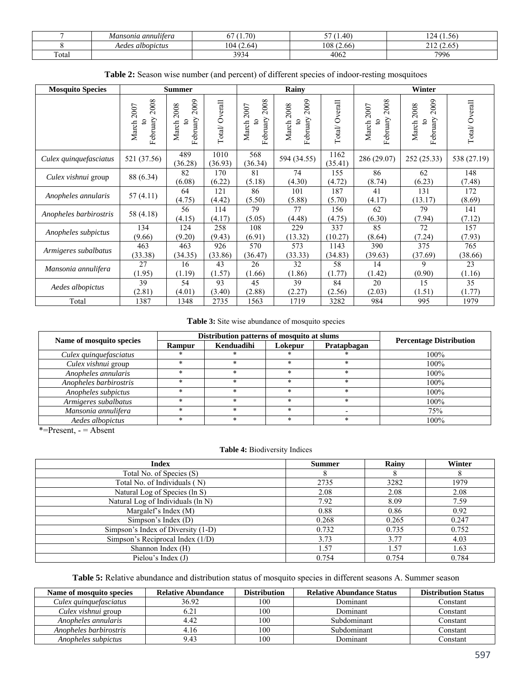|       | lansonia annulitera   | .70                   | $1.40^{\circ}$<br>--    | $\sim$<br>(1.56<br>. .                           |
|-------|-----------------------|-----------------------|-------------------------|--------------------------------------------------|
|       | s albopictus<br>Aedes | 104<br>$\sim$<br>. 64 | $\sim$<br>108<br>12.661 | $\sim$ $\sim$ $\sim$<br>$\sim$ 1 $\sim$<br>ت ن∡، |
| Total |                       | 303<br>∼<br>シノンコ      | 4062                    | 7996                                             |

| <b>Mosquito Species</b> |                                | <b>Summer</b>                                     |                 |                                      | Rainy                                  |                   |                                                           | Winter                                                         |                |  |  |
|-------------------------|--------------------------------|---------------------------------------------------|-----------------|--------------------------------------|----------------------------------------|-------------------|-----------------------------------------------------------|----------------------------------------------------------------|----------------|--|--|
|                         | 2008<br>March 2007<br>February | 2009<br>2008<br>February<br>$\mathbf{c}$<br>March | Total/Overall   | 2008<br>March 2007<br>February<br>°, | 2009<br>2008<br>February<br>౸<br>March | Overall<br>Total/ | 2008<br>March 2007<br>February<br>$\overline{\mathbf{c}}$ | 2009<br>2008<br>February<br>$\mathbf{c}$<br>March <sup>:</sup> | Total/Overall  |  |  |
| Culex quinquefasciatus  | 521 (37.56)                    | 489<br>(36.28)                                    | 1010<br>(36.93) | 568<br>(36.34)                       | 594 (34.55)                            | 1162<br>(35.41)   | 286 (29.07)                                               | 252(25.33)                                                     | 538 (27.19)    |  |  |
| Culex vishnui group     | 88 (6.34)                      | 82<br>(6.08)                                      | 170<br>(6.22)   | 81<br>(5.18)                         | 74<br>(4.30)                           | 155<br>(4.72)     | 86<br>(8.74)                                              | 62<br>(6.23)                                                   | 148<br>(7.48)  |  |  |
| Anopheles annularis     | 57(4.11)                       | 64<br>(4.75)                                      | 121<br>(4.42)   | 86<br>(5.50)                         | 101<br>(5.88)                          | 187<br>(5.70)     | 41<br>(4.17)                                              | 131<br>(13.17)                                                 | 172<br>(8.69)  |  |  |
| Anopheles barbirostris  | 58 (4.18)                      | 56<br>(4.15)                                      | 114<br>(4.17)   | 79<br>(5.05)                         | 77<br>(4.48)                           | 156<br>(4.75)     | 62<br>(6.30)                                              | 79<br>(7.94)                                                   | 141<br>(7.12)  |  |  |
| Anopheles subpictus     | 134<br>(9.66)                  | 124<br>(9.20)                                     | 258<br>(9.43)   | 108<br>(6.91)                        | 229<br>(13.32)                         | 337<br>(10.27)    | 85<br>(8.64)                                              | 72<br>(7.24)                                                   | 157<br>(7.93)  |  |  |
| Armigeres subalbatus    | 463<br>(33.38)                 | 463<br>(34.35)                                    | 926<br>(33.86)  | 570<br>(36.47)                       | 573<br>(33.33)                         | 1143<br>(34.83)   | 390<br>(39.63)                                            | 375<br>(37.69)                                                 | 765<br>(38.66) |  |  |
| Mansonia annulifera     | 27<br>(1.95)                   | 16<br>(1.19)                                      | 43<br>(1.57)    | 26<br>(1.66)                         | 32<br>(1.86)                           | 58<br>(1.77)      | 14<br>(1.42)                                              | 9<br>(0.90)                                                    | 23<br>(1.16)   |  |  |
| Aedes albopictus        | 39<br>(2.81)                   | 54<br>(4.01)                                      | 93<br>(3.40)    | 45<br>(2.88)                         | 39<br>(2.27)                           | 84<br>(2.56)      | 20<br>(2.03)                                              | 15<br>(1.51)                                                   | 35<br>(1.77)   |  |  |
| Total                   | 1387                           | 1348                                              | 2735            | 1563                                 | 1719                                   | 3282              | 984                                                       | 995                                                            | 1979           |  |  |

**Table 2:** Season wise number (and percent) of different species of indoor-resting mosquitoes

## **Table 3:** Site wise abundance of mosquito species

|                          |               | Distribution patterns of mosquito at slums |         |             |                                |
|--------------------------|---------------|--------------------------------------------|---------|-------------|--------------------------------|
| Name of mosquito species | <b>Rampur</b> | Kenduadihi                                 | Lokepur | Pratapbagan | <b>Percentage Distribution</b> |
| Culex quinquefasciatus   |               |                                            |         |             | $100\%$                        |
| Culex vishnui group      | ×             | $\ast$                                     |         |             | 100%                           |
| Anopheles annularis      | ×             | $\ast$                                     | $\ast$  |             | 100%                           |
| Anopheles barbirostris   |               | $\ast$                                     |         |             | 100%                           |
| Anopheles subpictus      |               | $\ast$                                     |         |             | 100%                           |
| Armigeres subalbatus     |               |                                            |         |             | 100%                           |
| Mansonia annulifera      | ÷             | *                                          | $\ast$  |             | 75%                            |
| Aedes albopictus         | ÷             | $\ast$                                     |         |             | 100%                           |

 $* =$ Present,  $- =$  Absent

#### **Table 4:** Biodiversity Indices

| <b>Index</b>                       | <b>Summer</b> | Rainv | Winter |
|------------------------------------|---------------|-------|--------|
| Total No. of Species (S)           |               | x     |        |
| Total No. of Individuals (N)       | 2735          | 3282  | 1979   |
| Natural Log of Species (ln S)      | 2.08          | 2.08  | 2.08   |
| Natural Log of Individuals (ln N)  | 7.92          | 8.09  | 7.59   |
| Margalef's Index (M)               | 0.88          | 0.86  | 0.92   |
| Simpson's Index (D)                | 0.268         | 0.265 | 0.247  |
| Simpson's Index of Diversity (1-D) | 0.732         | 0.735 | 0.752  |
| Simpson's Reciprocal Index (1/D)   | 3.73          | 3.77  | 4.03   |
| Shannon Index (H)                  | 1.57          | 1.57  | 1.63   |
| Pielou's Index (J)                 | 0.754         | 0.754 | 0.784  |

**Table 5:** Relative abundance and distribution status of mosquito species in different seasons A. Summer season

| Name of mosquito species | <b>Relative Abundance</b> | <b>Distribution</b> | <b>Relative Abundance Status</b> | <b>Distribution Status</b> |
|--------------------------|---------------------------|---------------------|----------------------------------|----------------------------|
| Culex quinquefasciatus   | 36.92                     | 100                 | Dominant                         | Constant                   |
| Culex vishnui group      | $0.4$ .                   | 100                 | Dominant                         | Constant                   |
| Anopheles annularis      | 4.42                      | 100                 | Subdominant                      | ∠onstant                   |
| Anopheles barbirostris   | 4.IO                      | 100                 | Subdominant                      | Constant                   |
| Anopheles subpictus      | 9.43                      | 100                 | Dominant                         | Constant                   |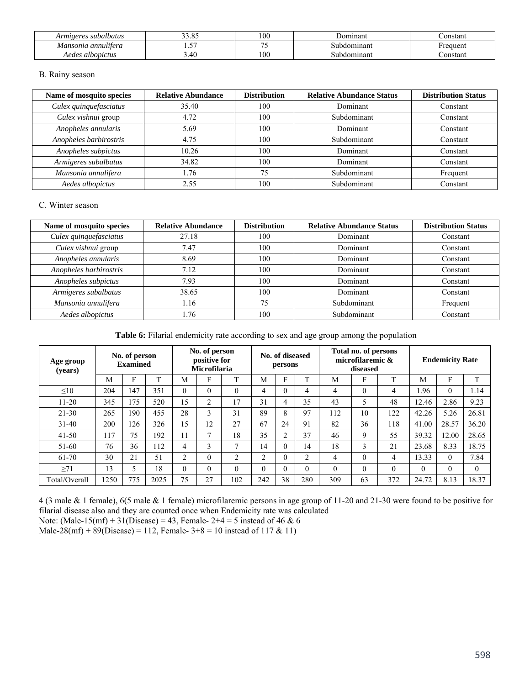| subalbatus<br><br>$\alpha$ r $\alpha$<br><i>m</i><br>. | ,,,,       | 100                      | mnnn<br>шнаш          | ∠onstant |
|--------------------------------------------------------|------------|--------------------------|-----------------------|----------|
| . annulitera<br>Mansonia                               | $ -$       | $\overline{\phantom{a}}$ | -<br>dominant<br>5UD. | equent   |
| albopictus <sup>'</sup><br>Aedes                       | 40<br>J.TU | 100                      | bdominant<br>subc     | `onstant |

#### B. Rainy season

| Name of mosquito species | <b>Relative Abundance</b> | <b>Distribution</b> | <b>Relative Abundance Status</b> | <b>Distribution Status</b> |
|--------------------------|---------------------------|---------------------|----------------------------------|----------------------------|
| Culex quinquefasciatus   | 35.40                     | 100                 | Dominant                         | Constant                   |
| Culex vishnui group      | 4.72                      | 100                 | Subdominant                      | Constant                   |
| Anopheles annularis      | 5.69                      | 100                 | Dominant                         | Constant                   |
| Anopheles barbirostris   | 4.75                      | 100                 | Subdominant                      | Constant                   |
| Anopheles subpictus      | 10.26                     | 100                 | Dominant                         | Constant                   |
| Armigeres subalbatus     | 34.82                     | 100                 | Dominant                         | Constant                   |
| Mansonia annulifera      | 1.76                      | 75                  | Subdominant                      | Frequent                   |
| Aedes albopictus         | 2.55                      | 100                 | Subdominant                      | Constant                   |

## C. Winter season

| Name of mosquito species | <b>Relative Abundance</b> | <b>Distribution</b> | <b>Relative Abundance Status</b> | <b>Distribution Status</b> |
|--------------------------|---------------------------|---------------------|----------------------------------|----------------------------|
| Culex quinquefasciatus   | 27.18                     | 100                 | Dominant                         | Constant                   |
| Culex vishnui group      | 7.47                      | 100                 | Dominant                         | Constant                   |
| Anopheles annularis      | 8.69                      | 100                 | Dominant                         | Constant                   |
| Anopheles barbirostris   | 7.12                      | 100                 | Dominant                         | Constant                   |
| Anopheles subpictus      | 7.93                      | 100                 | Dominant                         | Constant                   |
| Armigeres subalbatus     | 38.65                     | 100                 | Dominant                         | Constant                   |
| Mansonia annulifera      | 1.16                      | 75                  | Subdominant                      | Frequent                   |
| Aedes albopictus         | 1.76                      | 100                 | Subdominant                      | Constant                   |

**Table 6:** Filarial endemicity rate according to sex and age group among the population

| Age group<br>(years) |      | No. of person<br><b>Examined</b> |      |          | No. of person<br>positive for<br><b>Microfilaria</b> |              |                | No. of diseased<br>persons |          | Total no. of persons<br>microfilaremic &<br>diseased |          | <b>Endemicity Rate</b> |          |          |          |
|----------------------|------|----------------------------------|------|----------|------------------------------------------------------|--------------|----------------|----------------------------|----------|------------------------------------------------------|----------|------------------------|----------|----------|----------|
|                      | M    | E                                |      | М        | F                                                    |              | М              | F                          | T        | M                                                    | F        |                        | M        | F        | T        |
| $\leq 10$            | 204  | 147                              | 351  | $\theta$ | $\theta$                                             | $\Omega$     | 4              |                            | 4        | $\overline{4}$                                       | $\Omega$ | 4                      | 1.96     | $\theta$ | 1.14     |
| $11 - 20$            | 345  | 175                              | 520  | 15       | 2                                                    | 17           | 31             | 4                          | 35       | 43                                                   |          | 48                     | 12.46    | 2.86     | 9.23     |
| $21 - 30$            | 265  | 190                              | 455  | 28       | 3                                                    | 31           | 89             | 8                          | 97       | 112                                                  | 10       | 122                    | 42.26    | 5.26     | 26.81    |
| $31 - 40$            | 200  | 126                              | 326  | 15       | 12                                                   | 27           | 67             | 24                         | 91       | 82                                                   | 36       | 118                    | 41.00    | 28.57    | 36.20    |
| $41 - 50$            | 117  | 75                               | 192  | 11       | $\overline{7}$                                       | 18           | 35             | C                          | 37       | 46                                                   | 9        | 55                     | 39.32    | 12.00    | 28.65    |
| $51-60$              | 76   | 36                               | 112  | 4        | 3                                                    | $\mathbf{r}$ | 14             |                            | 14       | 18                                                   | 3        | 21                     | 23.68    | 8.33     | 18.75    |
| 61-70                | 30   | 21                               | 51   | 2        | $\theta$                                             | 2            | $\overline{c}$ | 0                          | 2        | 4                                                    | $\theta$ | 4                      | 13.33    | $\Omega$ | 7.84     |
| $\geq$ 71            | 13   | 5                                | 18   | $\theta$ | $\theta$                                             | $\Omega$     | $\Omega$       | $\Omega$                   | $\theta$ | $\Omega$                                             | $\Omega$ | $\theta$               | $\theta$ | $\theta$ | $\theta$ |
| Total/Overall        | 1250 | 775                              | 2025 | 75       | 27                                                   | 102          | 242            | 38                         | 280      | 309                                                  | 63       | 372                    | 24.72    | 8.13     | 18.37    |

4 (3 male & 1 female), 6(5 male & 1 female) microfilaremic persons in age group of 11-20 and 21-30 were found to be positive for filarial disease also and they are counted once when Endemicity rate was calculated

Note: (Male-15(mf) + 31(Disease) = 43, Female-  $2+4 = 5$  instead of 46 & 6

Male-28(mf) + 89(Disease) = 112, Female-  $3+8 = 10$  instead of 117 & 11)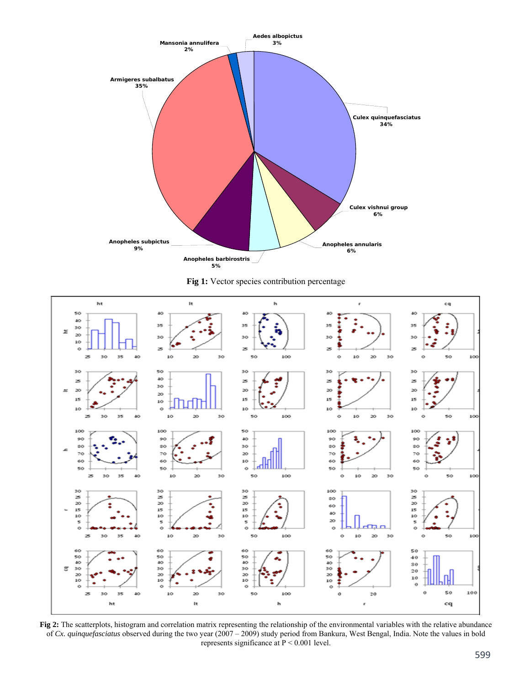





**Fig 2:** The scatterplots, histogram and correlation matrix representing the relationship of the environmental variables with the relative abundance of *Cx. quinquefasciatus* observed during the two year (2007 – 2009) study period from Bankura, West Bengal, India. Note the values in bold represents significance at P < 0.001 level.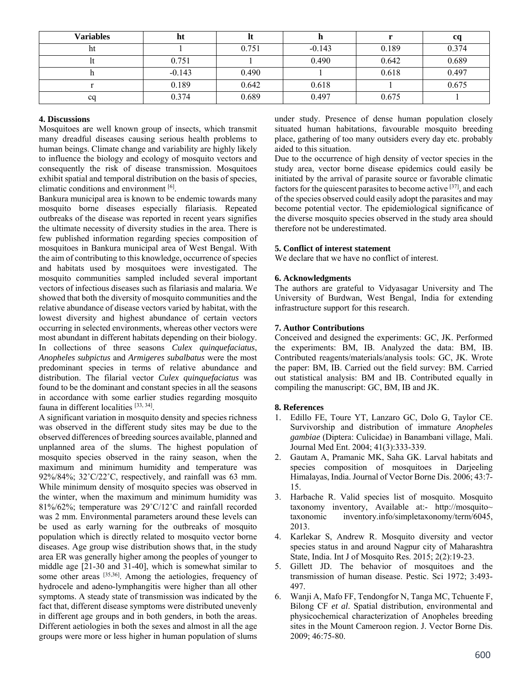| <b>Variables</b> | ht       |       |          |       | ca    |
|------------------|----------|-------|----------|-------|-------|
| ht               |          | 0.751 | $-0.143$ | 0.189 | 0.374 |
|                  | 0.751    |       | 0.490    | 0.642 | 0.689 |
|                  | $-0.143$ | 0.490 |          | 0.618 | 0.497 |
|                  | 0.189    | 0.642 | 0.618    |       | 0.675 |
| cq               | 0.374    | 0.689 | 0.497    | 0.675 |       |

#### **4. Discussions**

Mosquitoes are well known group of insects, which transmit many dreadful diseases causing serious health problems to human beings. Climate change and variability are highly likely to influence the biology and ecology of mosquito vectors and consequently the risk of disease transmission. Mosquitoes exhibit spatial and temporal distribution on the basis of species, climatic conditions and environment [6].

Bankura municipal area is known to be endemic towards many mosquito borne diseases especially filariasis. Repeated outbreaks of the disease was reported in recent years signifies the ultimate necessity of diversity studies in the area. There is few published information regarding species composition of mosquitoes in Bankura municipal area of West Bengal. With the aim of contributing to this knowledge, occurrence of species and habitats used by mosquitoes were investigated. The mosquito communities sampled included several important vectors of infectious diseases such as filariasis and malaria. We showed that both the diversity of mosquito communities and the relative abundance of disease vectors varied by habitat, with the lowest diversity and highest abundance of certain vectors occurring in selected environments, whereas other vectors were most abundant in different habitats depending on their biology. In collections of three seasons *Culex quinquefaciatus*, *Anopheles subpictus* and *Armigeres subalbatus* were the most predominant species in terms of relative abundance and distribution. The filarial vector *Culex quinquefaciatus* was found to be the dominant and constant species in all the seasons in accordance with some earlier studies regarding mosquito fauna in different localities [33, 34].

A significant variation in mosquito density and species richness was observed in the different study sites may be due to the observed differences of breeding sources available, planned and unplanned area of the slums. The highest population of mosquito species observed in the rainy season, when the maximum and minimum humidity and temperature was  $92\%/84\%;$   $32\degree C/22\degree C$ , respectively, and rainfall was 63 mm. While minimum density of mosquito species was observed in the winter, when the maximum and minimum humidity was 81%/62%; temperature was 29˚C/12˚C and rainfall recorded was 2 mm. Environmental parameters around these levels can be used as early warning for the outbreaks of mosquito population which is directly related to mosquito vector borne diseases. Age group wise distribution shows that, in the study area ER was generally higher among the peoples of younger to middle age [21-30 and 31-40], which is somewhat similar to some other areas [35,36]. Among the aetiologies, frequency of hydrocele and adeno-lymphangitis were higher than all other symptoms. A steady state of transmission was indicated by the fact that, different disease symptoms were distributed unevenly in different age groups and in both genders, in both the areas. Different aetiologies in both the sexes and almost in all the age groups were more or less higher in human population of slums

under study. Presence of dense human population closely situated human habitations, favourable mosquito breeding place, gathering of too many outsiders every day etc. probably aided to this situation.

Due to the occurrence of high density of vector species in the study area, vector borne disease epidemics could easily be initiated by the arrival of parasite source or favorable climatic factors for the quiescent parasites to become active [37], and each of the species observed could easily adopt the parasites and may become potential vector. The epidemiological significance of the diverse mosquito species observed in the study area should therefore not be underestimated.

## **5. Conflict of interest statement**

We declare that we have no conflict of interest.

## **6. Acknowledgments**

The authors are grateful to Vidyasagar University and The University of Burdwan, West Bengal, India for extending infrastructure support for this research.

## **7. Author Contributions**

Conceived and designed the experiments: GC, JK. Performed the experiments: BM, IB. Analyzed the data: BM, IB. Contributed reagents/materials/analysis tools: GC, JK. Wrote the paper: BM, IB. Carried out the field survey: BM. Carried out statistical analysis: BM and IB. Contributed equally in compiling the manuscript: GC, BM, IB and JK.

#### **8. References**

- 1. Edillo FE, Toure YT, Lanzaro GC, Dolo G, Taylor CE. Survivorship and distribution of immature *Anopheles gambiae* (Diptera: Culicidae) in Banambani village, Mali. Journal Med Ent. 2004; 41(3):333-339.
- 2. Gautam A, Pramanic MK, Saha GK. Larval habitats and species composition of mosquitoes in Darjeeling Himalayas, India. Journal of Vector Borne Dis. 2006; 43:7- 15.
- 3. Harbache R. Valid species list of mosquito. Mosquito taxonomy inventory, Available at:- http://mosquito~ taxonomic inventory.info/simpletaxonomy/term/6045, 2013.
- 4. Karlekar S, Andrew R. Mosquito diversity and vector species status in and around Nagpur city of Maharashtra State, India. Int J of Mosquito Res. 2015; 2(2):19-23.
- 5. Gillett JD. The behavior of mosquitoes and the transmission of human disease. Pestic. Sci 1972; 3:493- 497.
- 6. Wanji A, Mafo FF, Tendongfor N, Tanga MC, Tchuente F, Bilong CF *et al*. Spatial distribution, environmental and physicochemical characterization of Anopheles breeding sites in the Mount Cameroon region. J. Vector Borne Dis. 2009; 46:75-80.